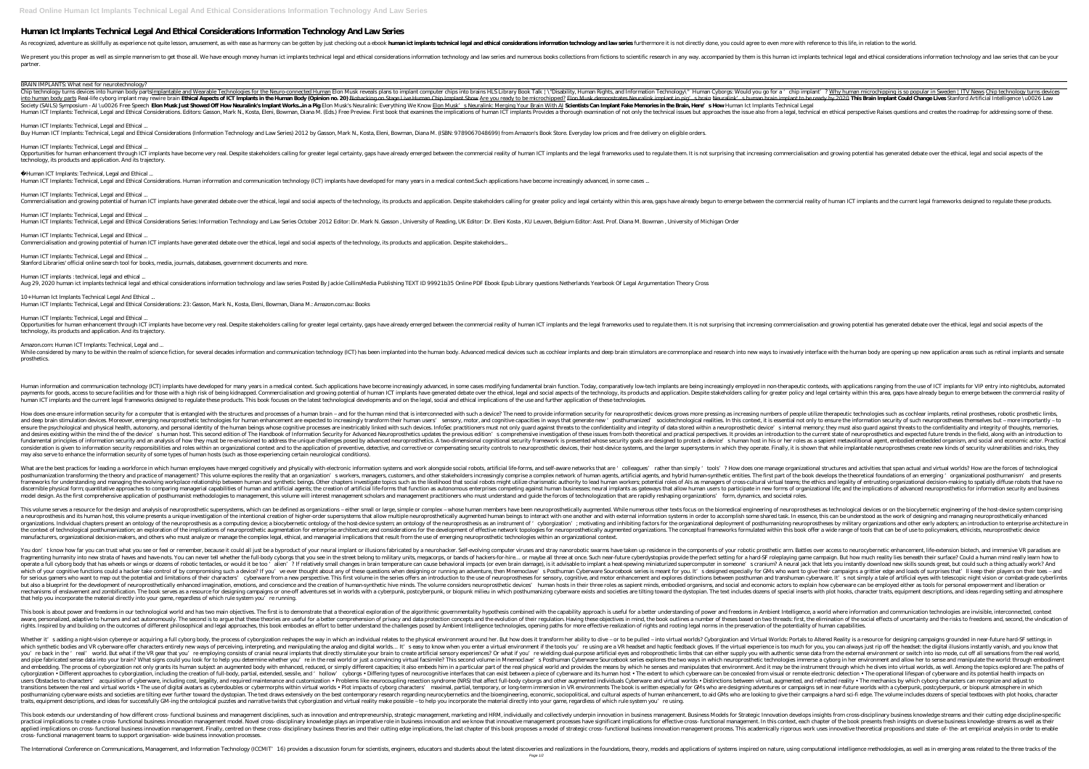## **Human Ict Implants Technical Legal And Ethical Considerations Information Technology And Law Series**

As recognized, adventure as skillfully as experience not quite lesson, amusement, as with ease as harmony can be gotten by just checking out a ebook **harm ict implants technical legal and ethical considerations information** 

We present you this proper as well as simple mannerism to get those all. We have enough money human ict implants technical legal and ethical considerations information technology and law series and numerous books collectio partner.

#### BRAIN IMPLANTS: What next for neurotechnology?

Chip technology turns devices into human body partsImplantable and Wearable Technologies for the Neuro-connected Human Elon Musk reveals plans to implant ? Why human microchipping is so popular in Sweden | ITV News Chip te into human body parts Real-life cyborg implant may rewire brain **Ethical Aspects of ICT Implants in the Human Body (Opinion ma 20)** Biohacking on Stage Live Human Chip Implant to be ready by 2020 **This Brain Implant Could** Society (SAILS) Symposium - AI\ u0026 Free Speech **Elon Musk Just Showed Off How Neuralink's Implant Works..in a Pig** Elon Musk's Neuralink: Everything We Know <u>Elon Musk's Neuralink: Merging Your Brain With AI</u> Scie**ntist** Human ICT Implants: Technical, Legal and Ethical Considerations. Editors: Gasson, Mark N., Kosta, Eleni, Bowman, Diana M. (Eds.) Free Preview. First book that examination of not only the technical issues but approaches the

*Human ICT Implants: Technical, Legal and Ethical ...* Buy Human ICT Implants: Technical, Legal and Ethical Considerations (Information Technology and Law Series) 2012 by Gasson, Mark N., Kosta, Eleni, Bowman, Diana M. (ISBN: 9789067048699) from Amazon's Book Store. Everyday l

Opportunities for human enhancement through ICT implants have become very real. Despite stakeholders calling for greater legal certainty, gaps have already emerged between the commercial reality of human ICT implants and t technology, its products and application. And its trajectory.

*Human ICT Implants: Technical, Legal and Ethical ...* Human ICT Implants: Technical, Legal and Ethical Considerations Series: Information Technology and Law Series October 2012 Editor: Dr. Mark N. Gasson , University of Reading, UK Editor: Dr. Eleni Kosta , KU Leuven, Belgium

#### *Human ICT Implants: Technical, Legal and Ethical ...*

Opportunities for human enhancement through ICT implants have become very real. Despite stakeholders calling for greater legal certainty, gaps have already emerged between the commercial reality of human ICT implants and t technology, its products and application. And its trajectory.

While considered by many to be within the realm of science fiction, for several decades information and communication technology (ICT) has been implants and deep brain stimulators are commonplace and research into new ways prosthetics.

Human information and communication technology (ICT) implants have developed for many years in a medical context. Such applications have become increasingly advanced, in some cases modifying fundamental brain function. Tod payments for goods, access to secure facilities and for those with a high risk of being kidnapped. Commercialisation and growing potential of human ICT implants have generated debate over the ethical, legal and social aspe human ICT implants and the current legal frameworks designed to regulate these products. This book focuses on the latest technological developments and on the legal, social and ethical implications of the use and further a

#### *Human ICT Implants: Technical, Legal and Ethical ...*

Human ICT Implants: Technical, Legal and Ethical Considerations. Human information and communication technology (ICT) implants have developed for many years in a medical context. Such applications have become increasingly

### *Human ICT Implants: Technical, Legal and Ethical ...*

Commercialisation and growing potential of human ICT implants have generated debate over the ethical, legal and social aspects of the technology, its products and application. Despite stakeholders calling for greater polic

*Human ICT Implants: Technical, Legal and Ethical ...* Commercialisation and growing potential of human ICT implants have generated debate over the ethical, legal and social aspects of the technology, its products and application. Despite stakeholders...

*Human ICT Implants: Technical, Legal and Ethical ...* Stanford Libraries' official online search tool for books, media, journals, databases, government documents and more.

#### *Human ICT implants : technical, legal and ethical ...*

Aug 29, 2020 human ict implants technical legal and ethical considerations information technology and law series Posted By Jackie CollinsMedia Publishing TEXT ID 99921b35 Online PDF Ebook Epub Library questions Netherlands

How does one ensure information security for a computer that is entangled with the structures and processes of a human brain – and for the human mind that is interconnected with such a device? The need to provide informati sensory, motor, and cognitive capacities in ways that generate new ' posthumanized' sociotechnological realities. In this context, it is essential not only to ensure the information security of such neuroprostheses themsel ensure the psychological and physical health, autonomy, and personal identity of the human beings whose cognitive processes are inextricably linked with such devices. InfoSec practitioners must not only guard against threa and desires existing within the mind the of the device's human host. This second edition of The Handbook of Information Security for Advanced Neuroprosthetics updates the previous edition's comprehensive investigation of t is of information security and an analysis of how they must be re-envisioned to address the unique challenges posed by advanced neuroprosthetics. A two-dimensional cognitional security goals are designed to protect a devic consideration is given to information security responsibilities and roles within an organizational context and to the application of preventive, detective, and corrective or compensating security controls to neuroprosthesi may also serve to enhance the information security of some types of human hosts (such as those experiencing certain neurological conditions).

What are the best practices for leading a workforce in which human employees have merged cognitively and physically with electronic information systems and work alongside social robots, artificial life-forms, and self-awar posthumanization transforming the theory and practice of management? This volume explores the reality that an organization's workers, managers, customers, and other stakeholders increasingly comprise a complex network of h or the evolving workplace relationship between human and synthetic beings. Other chapters investigate topics such as the likelihood that social robots might utilize charismatic authority to lead human workers; potential ro discernible physical form; quantitative approaches to comparing managerial capabilities of human and artificial agents; the creation of artificial life-forms that function as autonomous enterprises competing against human model design. As the first comprehensive application of posthumanist methodologies to management, this volume will interest management scholars and management practitioners who must understand and guide the forces of techn

This volume serves a resource for the design and analysis of neuroprosthetic supersystems, which can be defined as organizations – either small or large, simple or complex – whose human members have been neuroprostheses as a neuroprosthesis and its human host, this volume presents a unique investigation of the intentional creation of the intentional creation of higher-order supersystems that allow multiple neuroprosthetically augmented human organizations. Individual chapters present an ontology of the neuroprosthesis as a computing device; a biocybernetic ontology of the host-device system; an ontology of the neuroprosthesis as an instrument of 'cyborgization the context of technological posthumanization; an exploration of the implications of neuroprosthetic augmentation for enterprise architecture; and considerations for the development of effective network topologies for neur manufacturers, organizational decision-makers, and others who must analyze or manage the complex legal, ethical, and managerial implications that result from the use of emerging neuroprosthetic technologies within an organ

#### *10+ Human Ict Implants Technical Legal And Ethical ...*

Human ICT Implants: Technical, Legal and Ethical Considerations: 23: Gasson, Mark N., Kosta, Eleni, Bowman, Diana M.: Amazon.com.au: Books

# *Human ICT Implants: Technical, Legal and Ethical ...*

#### *Amazon.com: Human ICT Implants: Technical, Legal and ...*

You don't know how far you can trust what you see or feel or remember, because it could all just be a byproduct of your neural implant or illusions fabricated by a neurohacker. Self-evolving computer viruses and stray nano into new strata of haves and have-nots. You can never tell whether the full-body cyborgs that you see in the street belong to military units, megacorps, or bands of hackers-for-hire... or maybe all three at once. Such near ? If relatively small changes in brain temperature can cause behavioral impacts (or even brain damage), is it advisable to implant a heat-spewing miniaturized supercomputer in someone's cranium? A neural jack that lets you which of your cognitive functions could a hacker take control of by compromising such a device? If you've ever thought about any of these questions when designing or running an adventure, then Mnemoclave's Posthuman Cyberw reproduction to the potential and limitations of their characters' cyberware from a new perspective. This first volume in the series offers an introduction to the use of neuroprostheses for sensory, cognitive, and motor en but also a blueprint for the development of neuroprosthetically enhanced imagination, emotions, and conscience and the creation of human-synthetic devices' human hosts in their three roles as sapient minds. The volume cons mechanisms of enslavement and zombification. The book serves as a resource for designing campaigns or one-off adventures set in worlds with a cyberpunk, or biopunk milieu in which posthumanizing cyberware exists and societ that help you incorporate the material directly into your game, regardless of which rule system you're running.

This book is about power and freedoms in our technological world and has two main objectives. The first is to demonstrate that a theoretical exploration of the algorithmic governmentality hypothesis combined with the capab avare, personalized, adaptive to humans and act autonomously. The second is to argue that these theories are useful for a better comprehension of privacy and data protection concepts and the evolution of their regulation. rights. Inspired by and building on the outcomes of different philosophical and legal approaches, this book embodies an effort to better understand the challenges posed by Ambient Intelligence technologies, opening paths f

Whether it's adding a night-vision cybereye or acquiring a full cyborg body, the process of cyborgization reshapes the way in which an individual relates to the physical environment around her. But how does it transform he which synthetic bodies and VR cyberware offer characters entirely new ways of perceiving, interpreting, and manipulating the analog and digital worlds… It's easy to know when you enter a virtual experience is too much for you're back in the 'real' world. But what if the VR gear that you're employing consists of cranial neural implants that directly stimulate your brain to create artificial eyes and roboprosthetic limbs that can either suppl and pipe fabricated sense data into your brain? What signs could you look for to help you determine whether you're in the real world or just a convincing virtual facsimile? This second volume in Mnemoclave's Posthuman Cybe and embedding. The process of cyborgization not only grants its human subject an augmented body with enhanced, reduced, or simply different capacities; it also embeds him in a particular part of the real physical world and cyborgization • Different approaches to cyborgization, including the creation of full-body, partial, extended, sessile, and ' hollow' cyborgs • Differing types of neurocognitive interfaces that can exist between a piece of isters Obstacles to characters' acquisition of cyberware, including cost, legality, and required maintenance and customization • Problems like neurocoupling resection syndrome (NRS) that affect full-body cyborgs and other ransitions between the real and virtual worlds • The use of digital avatars as cyberdoubles or cybermorphs within virtual worlds • Plot impacts of cyborg characters' maximal, partial, temporary, or long-term immersion in V posthumanizing cyberware exists and societies are tilting ever further toward the dystopian. The text draws extensively on the best contemporary research regarding neurocybernetics and the bioengineering, economic, sociopo traits, equipment descriptions, and ideas for successfully GM-ing the ontological puzzles and narrative twists that cyborgization and virtual reality make possible – to help you incorporate the material directly into your

This book extends our understanding of how different cross- functional business and management disciplines, such as innovation and entrepreneurship, strategic Innovation in business Models for Strategic Innovation develops practical implications to create a cross- functional business innovation management model. Novel cross- disciplinary knowledge plays an imperative role in business innovation and we know that innovative management. In this applied implications on cross- functional business innovation management. Finally, centred on these cross- disciplinary business theories and their cutting edge implications, the last chapter of this book proposes a model cross- functional management teams to support organisation- wide business innovation processes.

The International Conference on Communications, Management, and Information Technology (ICCMIT" 16) provides a discussion forum for scientists, engineers, educators and realizations of systems inspired on nature, using com Page 1/2